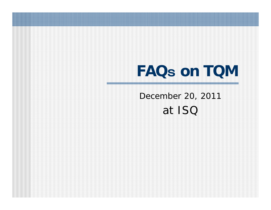# **FAQ**s **on TQM**

December 20, 2011 at ISQ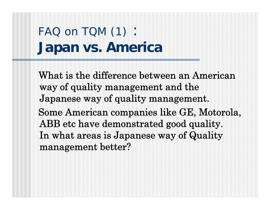## FAQ on TQM (1): **Japan vs. America**

What is the difference between an American way of quality management and the Japanese way of quality management. Some American companies like GE, Motorola, ABB etc have demonstrated good quality. In what areas is Japanese way of Quality management better?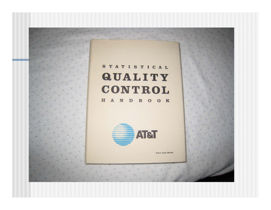### STATISTICAL **QUALITY** CONTROL

H A N D B O O K



Select Code 700-444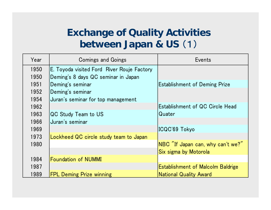#### **Exchange of Quality Activities between Japan & US** (1)

| Year | <b>Comings and Goings</b>                  | Events                                   |
|------|--------------------------------------------|------------------------------------------|
| 1950 | E. Toyoda visited Ford River Rouje Factory |                                          |
| 1950 | Deming's 8 days QC seminar in Japan        |                                          |
| 1951 | Deming's seminar                           | <b>Establishment of Deming Prize</b>     |
| 1952 | Deming's seminar                           |                                          |
| 1954 | Juran's seminar for top management         |                                          |
| 1962 |                                            | Establishment of QC Circle Head          |
| 1963 | QC Study Team to US                        | Quater                                   |
| 1966 | Juran's seminar                            |                                          |
| 1969 |                                            | ICQC'69 Tokyo                            |
| 1973 | Lockheed QC circle study team to Japan     |                                          |
| 1980 |                                            | NBC "If Japan can, why can't we?"        |
|      |                                            | Six sigma by Motorola                    |
| 1984 | Foundation of NUMMI                        |                                          |
| 1987 |                                            | <b>Establishment of Malcolm Baldrige</b> |
| 1989 | <b>FPL Deming Prize winning</b>            | <b>National Quality Award</b>            |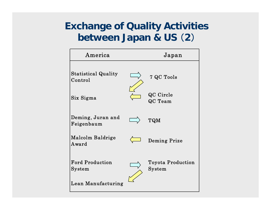#### **Exchange of Quality Activities between Japan & US**  ( **2** )

| America                               | Japan                                 |
|---------------------------------------|---------------------------------------|
| <b>Statistical Quality</b><br>Control | 7 QC Tools                            |
| Six Sigma                             | QC Circle<br>QC Team                  |
| Deming, Juran and<br>Feigenbaum       | <b>TQM</b>                            |
| Malcolm Baldrige<br>Award             | Deming Prize                          |
| <b>Ford Production</b><br>System      | <b>Toyota Production</b><br>$S$ ystem |
| Lean Manufacturing                    |                                       |